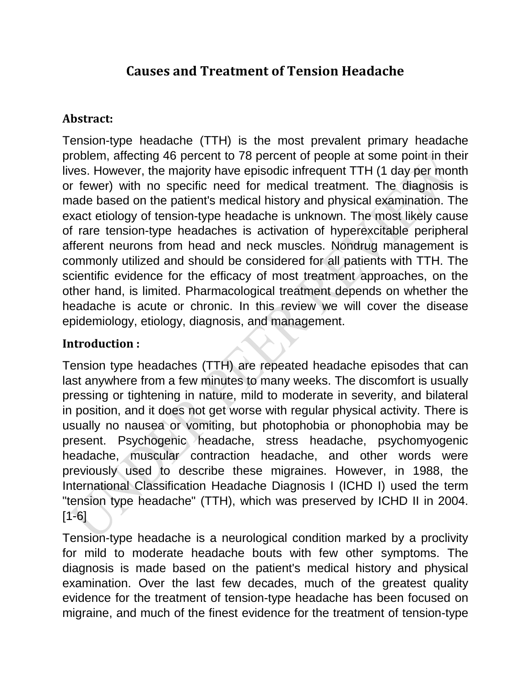# **Causes and Treatment of Tension Headache**

## **Abstract:**

Tension-type headache (TTH) is the most prevalent primary headache problem, affecting 46 percent to 78 percent of people at some point in their lives. However, the majority have episodic infrequent TTH (1 day per month or fewer) with no specific need for medical treatment. The diagnosis is made based on the patient's medical history and physical examination. The exact etiology of tension-type headache is unknown. The most likely cause of rare tension-type headaches is activation of hyperexcitable peripheral afferent neurons from head and neck muscles. Nondrug management is commonly utilized and should be considered for all patients with TTH. The scientific evidence for the efficacy of most treatment approaches, on the other hand, is limited. Pharmacological treatment depends on whether the headache is acute or chronic. In this review we will cover the disease epidemiology, etiology, diagnosis, and management.

## **Introduction :**

Tension type headaches (TTH) are repeated headache episodes that can last anywhere from a few minutes to many weeks. The discomfort is usually pressing or tightening in nature, mild to moderate in severity, and bilateral in position, and it does not get worse with regular physical activity. There is usually no nausea or vomiting, but photophobia or phonophobia may be present. Psychogenic headache, stress headache, psychomyogenic headache, muscular contraction headache, and other words were previously used to describe these migraines. However, in 1988, the International Classification Headache Diagnosis I (ICHD I) used the term "tension type headache" (TTH), which was preserved by ICHD II in 2004. [1-6]

Tension-type headache is a neurological condition marked by a proclivity for mild to moderate headache bouts with few other symptoms. The diagnosis is made based on the patient's medical history and physical examination. Over the last few decades, much of the greatest quality evidence for the treatment of tension-type headache has been focused on migraine, and much of the finest evidence for the treatment of tension-type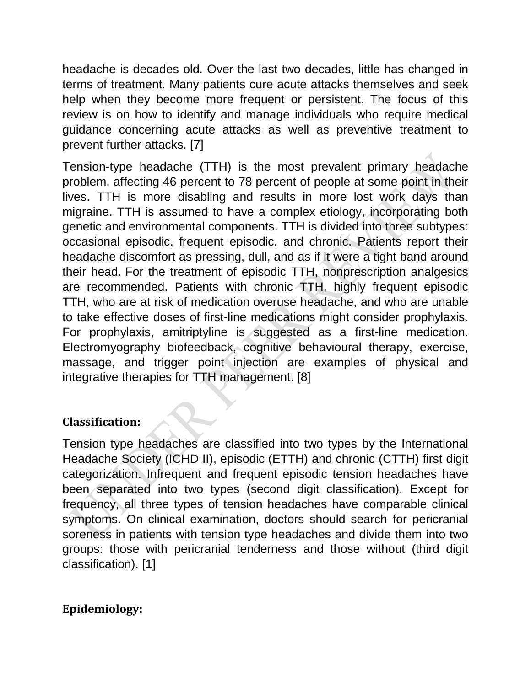headache is decades old. Over the last two decades, little has changed in terms of treatment. Many patients cure acute attacks themselves and seek help when they become more frequent or persistent. The focus of this review is on how to identify and manage individuals who require medical guidance concerning acute attacks as well as preventive treatment to prevent further attacks. [7]

Tension-type headache (TTH) is the most prevalent primary headache problem, affecting 46 percent to 78 percent of people at some point in their lives. TTH is more disabling and results in more lost work days than migraine. TTH is assumed to have a complex etiology, incorporating both genetic and environmental components. TTH is divided into three subtypes: occasional episodic, frequent episodic, and chronic. Patients report their headache discomfort as pressing, dull, and as if it were a tight band around their head. For the treatment of episodic TTH, nonprescription analgesics are recommended. Patients with chronic TTH, highly frequent episodic TTH, who are at risk of medication overuse headache, and who are unable to take effective doses of first-line medications might consider prophylaxis. For prophylaxis, amitriptyline is suggested as a first-line medication. Electromyography biofeedback, cognitive behavioural therapy, exercise, massage, and trigger point injection are examples of physical and integrative therapies for TTH management. [8]

#### **Classification:**

Tension type headaches are classified into two types by the International Headache Society (ICHD II), episodic (ETTH) and chronic (CTTH) first digit categorization. Infrequent and frequent episodic tension headaches have been separated into two types (second digit classification). Except for frequency, all three types of tension headaches have comparable clinical symptoms. On clinical examination, doctors should search for pericranial soreness in patients with tension type headaches and divide them into two groups: those with pericranial tenderness and those without (third digit classification). [1]

### **Epidemiology:**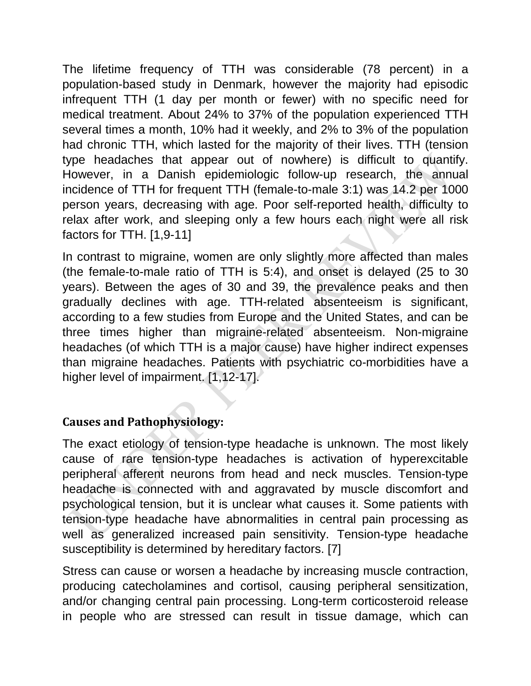The lifetime frequency of TTH was considerable (78 percent) in a population-based study in Denmark, however the majority had episodic infrequent TTH (1 day per month or fewer) with no specific need for medical treatment. About 24% to 37% of the population experienced TTH several times a month, 10% had it weekly, and 2% to 3% of the population had chronic TTH, which lasted for the majority of their lives. TTH (tension type headaches that appear out of nowhere) is difficult to quantify. However, in a Danish epidemiologic follow-up research, the annual incidence of TTH for frequent TTH (female-to-male 3:1) was 14.2 per 1000 person years, decreasing with age. Poor self-reported health, difficulty to relax after work, and sleeping only a few hours each night were all risk factors for TTH. [1,9-11]

In contrast to migraine, women are only slightly more affected than males (the female-to-male ratio of TTH is 5:4), and onset is delayed (25 to 30 years). Between the ages of 30 and 39, the prevalence peaks and then gradually declines with age. TTH-related absenteeism is significant, according to a few studies from Europe and the United States, and can be three times higher than migraine-related absenteeism. Non-migraine headaches (of which TTH is a major cause) have higher indirect expenses than migraine headaches. Patients with psychiatric co-morbidities have a higher level of impairment. [1,12-17].

#### **Causes and Pathophysiology:**

The exact etiology of tension-type headache is unknown. The most likely cause of rare tension-type headaches is activation of hyperexcitable peripheral afferent neurons from head and neck muscles. Tension-type headache is connected with and aggravated by muscle discomfort and psychological tension, but it is unclear what causes it. Some patients with tension-type headache have abnormalities in central pain processing as well as generalized increased pain sensitivity. Tension-type headache susceptibility is determined by hereditary factors. [7]

Stress can cause or worsen a headache by increasing muscle contraction, producing catecholamines and cortisol, causing peripheral sensitization, and/or changing central pain processing. Long-term corticosteroid release in people who are stressed can result in tissue damage, which can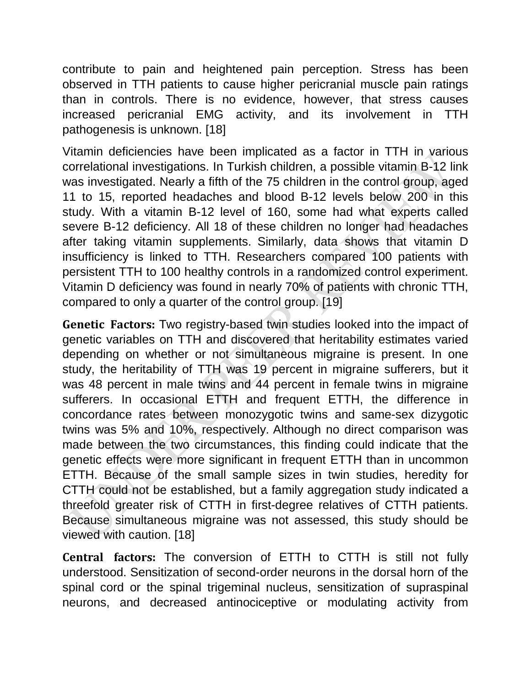contribute to pain and heightened pain perception. Stress has been observed in TTH patients to cause higher pericranial muscle pain ratings than in controls. There is no evidence, however, that stress causes increased pericranial EMG activity, and its involvement in TTH pathogenesis is unknown. [18]

Vitamin deficiencies have been implicated as a factor in TTH in various correlational investigations. In Turkish children, a possible vitamin B-12 link was investigated. Nearly a fifth of the 75 children in the control group, aged 11 to 15, reported headaches and blood B-12 levels below 200 in this study. With a vitamin B-12 level of 160, some had what experts called severe B-12 deficiency. All 18 of these children no longer had headaches after taking vitamin supplements. Similarly, data shows that vitamin D insufficiency is linked to TTH. Researchers compared 100 patients with persistent TTH to 100 healthy controls in a randomized control experiment. Vitamin D deficiency was found in nearly 70% of patients with chronic TTH, compared to only a quarter of the control group. [19]

**Genetic Factors:** Two registry-based twin studies looked into the impact of genetic variables on TTH and discovered that heritability estimates varied depending on whether or not simultaneous migraine is present. In one study, the heritability of TTH was 19 percent in migraine sufferers, but it was 48 percent in male twins and 44 percent in female twins in migraine sufferers. In occasional ETTH and frequent ETTH, the difference in concordance rates between monozygotic twins and same-sex dizygotic twins was 5% and 10%, respectively. Although no direct comparison was made between the two circumstances, this finding could indicate that the genetic effects were more significant in frequent ETTH than in uncommon ETTH. Because of the small sample sizes in twin studies, heredity for CTTH could not be established, but a family aggregation study indicated a threefold greater risk of CTTH in first-degree relatives of CTTH patients. Because simultaneous migraine was not assessed, this study should be viewed with caution. [18]

**Central factors:** The conversion of ETTH to CTTH is still not fully understood. Sensitization of second-order neurons in the dorsal horn of the spinal cord or the spinal trigeminal nucleus, sensitization of supraspinal neurons, and decreased antinociceptive or modulating activity from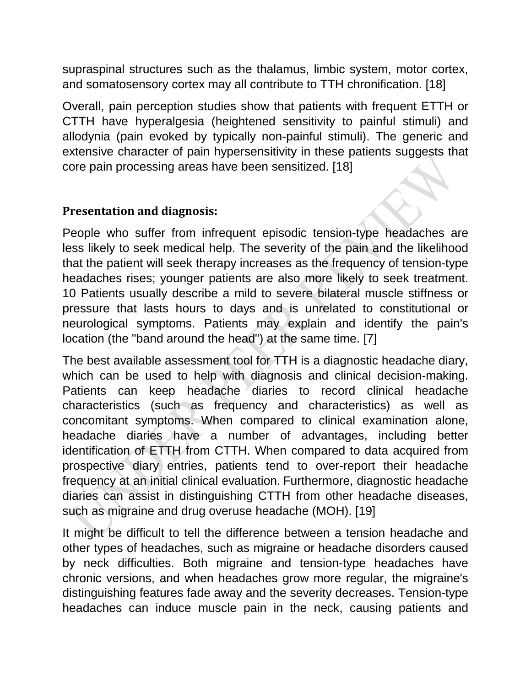supraspinal structures such as the thalamus, limbic system, motor cortex, and somatosensory cortex may all contribute to TTH chronification. [18]

Overall, pain perception studies show that patients with frequent ETTH or CTTH have hyperalgesia (heightened sensitivity to painful stimuli) and allodynia (pain evoked by typically non-painful stimuli). The generic and extensive character of pain hypersensitivity in these patients suggests that core pain processing areas have been sensitized. [18]

### **Presentation and diagnosis:**

People who suffer from infrequent episodic tension-type headaches are less likely to seek medical help. The severity of the pain and the likelihood that the patient will seek therapy increases as the frequency of tension-type headaches rises; younger patients are also more likely to seek treatment. 10 Patients usually describe a mild to severe bilateral muscle stiffness or pressure that lasts hours to days and is unrelated to constitutional or neurological symptoms. Patients may explain and identify the pain's location (the "band around the head") at the same time. [7]

The best available assessment tool for TTH is a diagnostic headache diary, which can be used to help with diagnosis and clinical decision-making. Patients can keep headache diaries to record clinical headache characteristics (such as frequency and characteristics) as well as concomitant symptoms. When compared to clinical examination alone, headache diaries have a number of advantages, including better identification of ETTH from CTTH. When compared to data acquired from prospective diary entries, patients tend to over-report their headache frequency at an initial clinical evaluation. Furthermore, diagnostic headache diaries can assist in distinguishing CTTH from other headache diseases, such as migraine and drug overuse headache (MOH). [19]

It might be difficult to tell the difference between a tension headache and other types of headaches, such as migraine or headache disorders caused by neck difficulties. Both migraine and tension-type headaches have chronic versions, and when headaches grow more regular, the migraine's distinguishing features fade away and the severity decreases. Tension-type headaches can induce muscle pain in the neck, causing patients and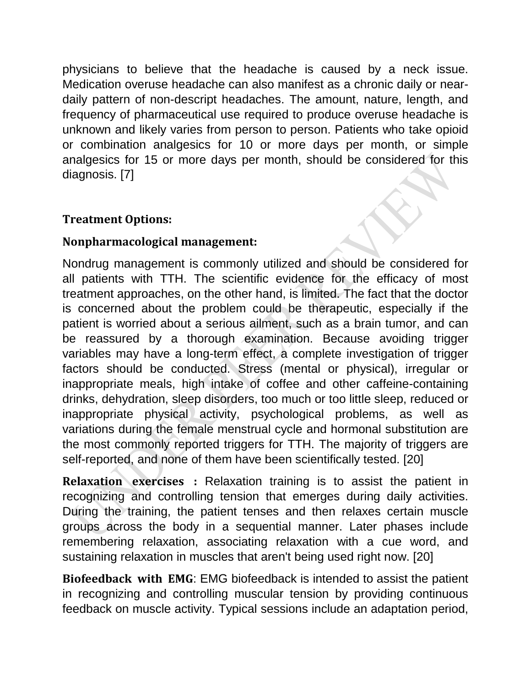physicians to believe that the headache is caused by a neck issue. Medication overuse headache can also manifest as a chronic daily or neardaily pattern of non-descript headaches. The amount, nature, length, and frequency of pharmaceutical use required to produce overuse headache is unknown and likely varies from person to person. Patients who take opioid or combination analgesics for 10 or more days per month, or simple analgesics for 15 or more days per month, should be considered for this diagnosis. [7]

### **Treatment Options:**

### **Nonpharmacological management:**

Nondrug management is commonly utilized and should be considered for all patients with TTH. The scientific evidence for the efficacy of most treatment approaches, on the other hand, is limited. The fact that the doctor is concerned about the problem could be therapeutic, especially if the patient is worried about a serious ailment, such as a brain tumor, and can be reassured by a thorough examination. Because avoiding trigger variables may have a long-term effect, a complete investigation of trigger factors should be conducted. Stress (mental or physical), irregular or inappropriate meals, high intake of coffee and other caffeine-containing drinks, dehydration, sleep disorders, too much or too little sleep, reduced or inappropriate physical activity, psychological problems, as well as variations during the female menstrual cycle and hormonal substitution are the most commonly reported triggers for TTH. The majority of triggers are self-reported, and none of them have been scientifically tested. [20]

**Relaxation exercises :** Relaxation training is to assist the patient in recognizing and controlling tension that emerges during daily activities. During the training, the patient tenses and then relaxes certain muscle groups across the body in a sequential manner. Later phases include remembering relaxation, associating relaxation with a cue word, and sustaining relaxation in muscles that aren't being used right now. [20]

**Biofeedback with EMG**: EMG biofeedback is intended to assist the patient in recognizing and controlling muscular tension by providing continuous feedback on muscle activity. Typical sessions include an adaptation period,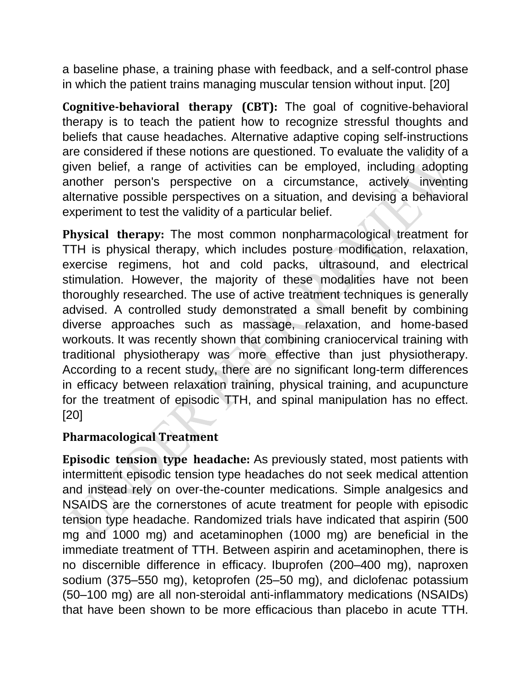a baseline phase, a training phase with feedback, and a self-control phase in which the patient trains managing muscular tension without input. [20]

**Cognitive-behavioral therapy (CBT):** The goal of cognitive-behavioral therapy is to teach the patient how to recognize stressful thoughts and beliefs that cause headaches. Alternative adaptive coping self-instructions are considered if these notions are questioned. To evaluate the validity of a given belief, a range of activities can be employed, including adopting another person's perspective on a circumstance, actively inventing alternative possible perspectives on a situation, and devising a behavioral experiment to test the validity of a particular belief.

**Physical therapy:** The most common nonpharmacological treatment for TTH is physical therapy, which includes posture modification, relaxation, exercise regimens, hot and cold packs, ultrasound, and electrical stimulation. However, the majority of these modalities have not been thoroughly researched. The use of active treatment techniques is generally advised. A controlled study demonstrated a small benefit by combining diverse approaches such as massage, relaxation, and home-based workouts. It was recently shown that combining craniocervical training with traditional physiotherapy was more effective than just physiotherapy. According to a recent study, there are no significant long-term differences in efficacy between relaxation training, physical training, and acupuncture for the treatment of episodic TTH, and spinal manipulation has no effect. [20]

#### **Pharmacological Treatment**

**Episodic tension type headache:** As previously stated, most patients with intermittent episodic tension type headaches do not seek medical attention and instead rely on over-the-counter medications. Simple analgesics and NSAIDS are the cornerstones of acute treatment for people with episodic tension type headache. Randomized trials have indicated that aspirin (500 mg and 1000 mg) and acetaminophen (1000 mg) are beneficial in the immediate treatment of TTH. Between aspirin and acetaminophen, there is no discernible difference in efficacy. Ibuprofen (200–400 mg), naproxen sodium (375–550 mg), ketoprofen (25–50 mg), and diclofenac potassium (50–100 mg) are all non-steroidal anti-inflammatory medications (NSAIDs) that have been shown to be more efficacious than placebo in acute TTH.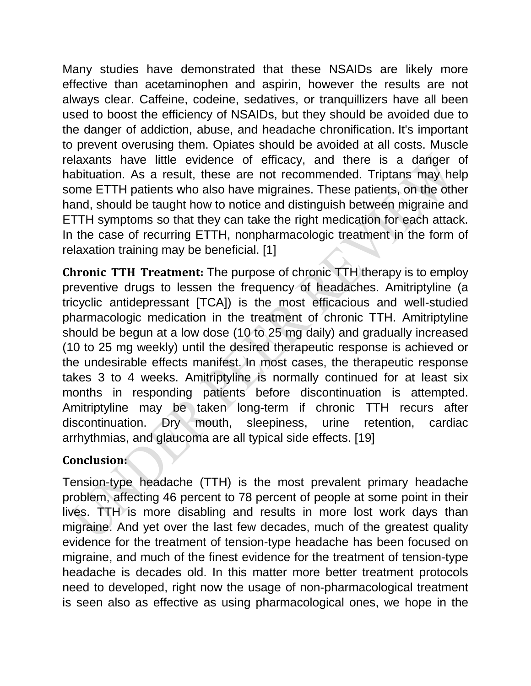Many studies have demonstrated that these NSAIDs are likely more effective than acetaminophen and aspirin, however the results are not always clear. Caffeine, codeine, sedatives, or tranquillizers have all been used to boost the efficiency of NSAIDs, but they should be avoided due to the danger of addiction, abuse, and headache chronification. It's important to prevent overusing them. Opiates should be avoided at all costs. Muscle relaxants have little evidence of efficacy, and there is a danger of habituation. As a result, these are not recommended. Triptans may help some ETTH patients who also have migraines. These patients, on the other hand, should be taught how to notice and distinguish between migraine and ETTH symptoms so that they can take the right medication for each attack. In the case of recurring ETTH, nonpharmacologic treatment in the form of relaxation training may be beneficial. [1]

**Chronic TTH Treatment:** The purpose of chronic TTH therapy is to employ preventive drugs to lessen the frequency of headaches. Amitriptyline (a tricyclic antidepressant [TCA]) is the most efficacious and well-studied pharmacologic medication in the treatment of chronic TTH. Amitriptyline should be begun at a low dose (10 to 25 mg daily) and gradually increased (10 to 25 mg weekly) until the desired therapeutic response is achieved or the undesirable effects manifest. In most cases, the therapeutic response takes 3 to 4 weeks. Amitriptyline is normally continued for at least six months in responding patients before discontinuation is attempted. Amitriptyline may be taken long-term if chronic TTH recurs after discontinuation. Dry mouth, sleepiness, urine retention, cardiac arrhythmias, and glaucoma are all typical side effects. [19]

### **Conclusion:**

Tension-type headache (TTH) is the most prevalent primary headache problem, affecting 46 percent to 78 percent of people at some point in their lives. TTH is more disabling and results in more lost work days than migraine. And yet over the last few decades, much of the greatest quality evidence for the treatment of tension-type headache has been focused on migraine, and much of the finest evidence for the treatment of tension-type headache is decades old. In this matter more better treatment protocols need to developed, right now the usage of non-pharmacological treatment is seen also as effective as using pharmacological ones, we hope in the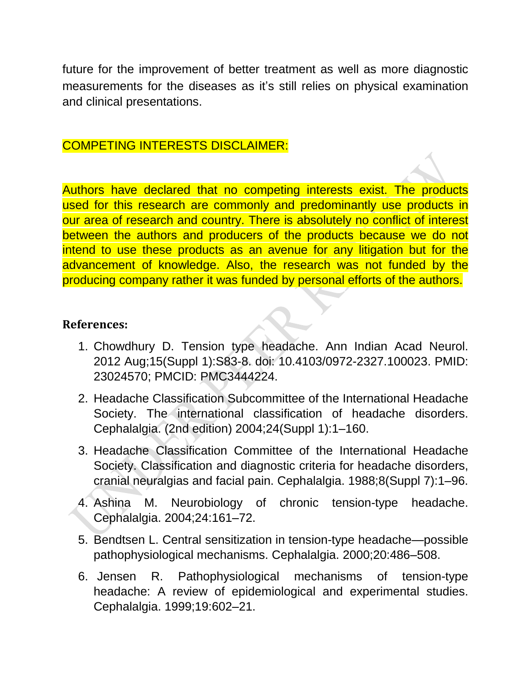future for the improvement of better treatment as well as more diagnostic measurements for the diseases as it's still relies on physical examination and clinical presentations.

### COMPETING INTERESTS DISCLAIMER:

Authors have declared that no competing interests exist. The products used for this research are commonly and predominantly use products in our area of research and country. There is absolutely no conflict of interest between the authors and producers of the products because we do not intend to use these products as an avenue for any litigation but for the advancement of knowledge. Also, the research was not funded by the producing company rather it was funded by personal efforts of the authors.

#### **References:**

- 1. Chowdhury D. Tension type headache. Ann Indian Acad Neurol. 2012 Aug;15(Suppl 1):S83-8. doi: 10.4103/0972-2327.100023. PMID: 23024570; PMCID: PMC3444224.
- 2. Headache Classification Subcommittee of the International Headache Society. The international classification of headache disorders. Cephalalgia. (2nd edition) 2004;24(Suppl 1):1–160.
- 3. Headache Classification Committee of the International Headache Society. Classification and diagnostic criteria for headache disorders, cranial neuralgias and facial pain. Cephalalgia. 1988;8(Suppl 7):1–96.
- 4. Ashina M. Neurobiology of chronic tension-type headache. Cephalalgia. 2004;24:161–72.
- 5. Bendtsen L. Central sensitization in tension-type headache—possible pathophysiological mechanisms. Cephalalgia. 2000;20:486–508.
- 6. Jensen R. Pathophysiological mechanisms of tension-type headache: A review of epidemiological and experimental studies. Cephalalgia. 1999;19:602–21.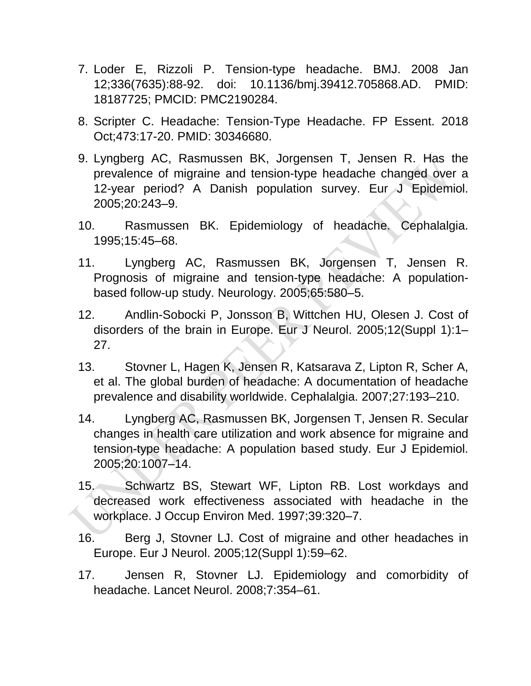- 7. Loder E, Rizzoli P. Tension-type headache. BMJ. 2008 Jan 12;336(7635):88-92. doi: 10.1136/bmj.39412.705868.AD. PMID: 18187725; PMCID: PMC2190284.
- 8. Scripter C. Headache: Tension-Type Headache. FP Essent. 2018 Oct;473:17-20. PMID: 30346680.
- 9. Lyngberg AC, Rasmussen BK, Jorgensen T, Jensen R. Has the prevalence of migraine and tension-type headache changed over a 12-year period? A Danish population survey. Eur J Epidemiol. 2005;20:243–9.
- 10. Rasmussen BK. Epidemiology of headache. Cephalalgia. 1995;15:45–68.
- 11. Lyngberg AC, Rasmussen BK, Jorgensen T, Jensen R. Prognosis of migraine and tension-type headache: A populationbased follow-up study. Neurology. 2005;65:580–5.
- 12. Andlin-Sobocki P, Jonsson B, Wittchen HU, Olesen J. Cost of disorders of the brain in Europe. Eur J Neurol. 2005;12(Suppl 1):1– 27.
- 13. Stovner L, Hagen K, Jensen R, Katsarava Z, Lipton R, Scher A, et al. The global burden of headache: A documentation of headache prevalence and disability worldwide. Cephalalgia. 2007;27:193–210.
- 14. Lyngberg AC, Rasmussen BK, Jorgensen T, Jensen R. Secular changes in health care utilization and work absence for migraine and tension-type headache: A population based study. Eur J Epidemiol. 2005;20:1007–14.
- 15. Schwartz BS, Stewart WF, Lipton RB. Lost workdays and decreased work effectiveness associated with headache in the workplace. J Occup Environ Med. 1997;39:320–7.
- 16. Berg J, Stovner LJ. Cost of migraine and other headaches in Europe. Eur J Neurol. 2005;12(Suppl 1):59–62.
- 17. Jensen R, Stovner LJ. Epidemiology and comorbidity of headache. Lancet Neurol. 2008;7:354–61.